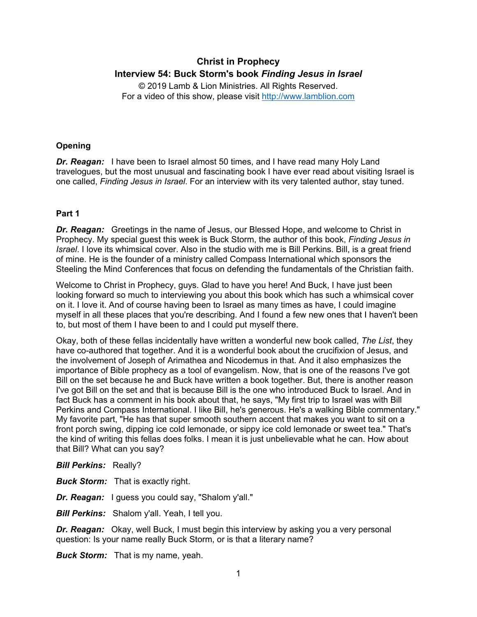# **Christ in Prophecy Interview 54: Buck Storm's book** *Finding Jesus in Israel*

© 2019 Lamb & Lion Ministries. All Rights Reserved. For a video of this show, please visit [http://www.lamblion.com](http://www.lamblion.com/)

# **Opening**

*Dr. Reagan:* I have been to Israel almost 50 times, and I have read many Holy Land travelogues, but the most unusual and fascinating book I have ever read about visiting Israel is one called, *Finding Jesus in Israel*. For an interview with its very talented author, stay tuned.

## **Part 1**

*Dr. Reagan:* Greetings in the name of Jesus, our Blessed Hope, and welcome to Christ in Prophecy. My special guest this week is Buck Storm, the author of this book, *Finding Jesus in Israel*. I love its whimsical cover. Also in the studio with me is Bill Perkins. Bill, is a great friend of mine. He is the founder of a ministry called Compass International which sponsors the Steeling the Mind Conferences that focus on defending the fundamentals of the Christian faith.

Welcome to Christ in Prophecy, guys. Glad to have you here! And Buck, I have just been looking forward so much to interviewing you about this book which has such a whimsical cover on it. I love it. And of course having been to Israel as many times as have, I could imagine myself in all these places that you're describing. And I found a few new ones that I haven't been to, but most of them I have been to and I could put myself there.

Okay, both of these fellas incidentally have written a wonderful new book called, *The List*, they have co-authored that together. And it is a wonderful book about the crucifixion of Jesus, and the involvement of Joseph of Arimathea and Nicodemus in that. And it also emphasizes the importance of Bible prophecy as a tool of evangelism. Now, that is one of the reasons I've got Bill on the set because he and Buck have written a book together. But, there is another reason I've got Bill on the set and that is because Bill is the one who introduced Buck to Israel. And in fact Buck has a comment in his book about that, he says, "My first trip to Israel was with Bill Perkins and Compass International. I like Bill, he's generous. He's a walking Bible commentary." My favorite part, "He has that super smooth southern accent that makes you want to sit on a front porch swing, dipping ice cold lemonade, or sippy ice cold lemonade or sweet tea." That's the kind of writing this fellas does folks. I mean it is just unbelievable what he can. How about that Bill? What can you say?

*Bill Perkins:* Really?

*Buck Storm:* That is exactly right.

*Dr. Reagan:* I guess you could say, "Shalom y'all."

*Bill Perkins:* Shalom y'all. Yeah, I tell you.

*Dr. Reagan:* Okay, well Buck, I must begin this interview by asking you a very personal question: Is your name really Buck Storm, or is that a literary name?

*Buck Storm:* That is my name, yeah.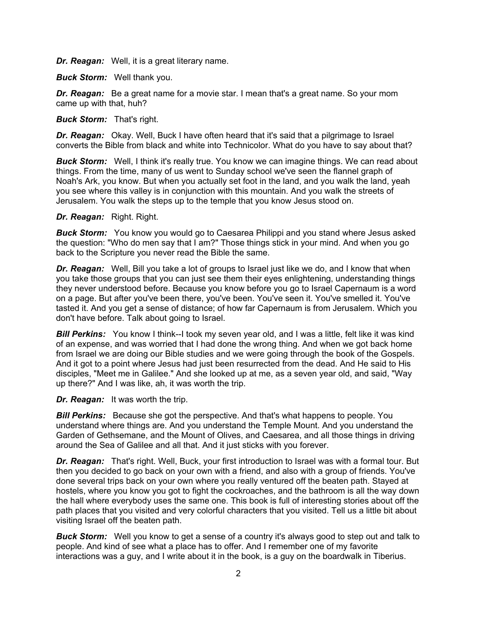*Dr. Reagan:* Well, it is a great literary name.

*Buck Storm:* Well thank you.

*Dr. Reagan:* Be a great name for a movie star. I mean that's a great name. So your mom came up with that, huh?

*Buck Storm:* That's right.

*Dr. Reagan:* Okay. Well, Buck I have often heard that it's said that a pilgrimage to Israel converts the Bible from black and white into Technicolor. What do you have to say about that?

**Buck Storm:** Well, I think it's really true. You know we can imagine things. We can read about things. From the time, many of us went to Sunday school we've seen the flannel graph of Noah's Ark, you know. But when you actually set foot in the land, and you walk the land, yeah you see where this valley is in conjunction with this mountain. And you walk the streets of Jerusalem. You walk the steps up to the temple that you know Jesus stood on.

## *Dr. Reagan:* Right. Right.

**Buck Storm:** You know you would go to Caesarea Philippi and you stand where Jesus asked the question: "Who do men say that I am?" Those things stick in your mind. And when you go back to the Scripture you never read the Bible the same.

*Dr. Reagan:* Well, Bill you take a lot of groups to Israel just like we do, and I know that when you take those groups that you can just see them their eyes enlightening, understanding things they never understood before. Because you know before you go to Israel Capernaum is a word on a page. But after you've been there, you've been. You've seen it. You've smelled it. You've tasted it. And you get a sense of distance; of how far Capernaum is from Jerusalem. Which you don't have before. Talk about going to Israel.

**Bill Perkins:** You know I think--I took my seven year old, and I was a little, felt like it was kind of an expense, and was worried that I had done the wrong thing. And when we got back home from Israel we are doing our Bible studies and we were going through the book of the Gospels. And it got to a point where Jesus had just been resurrected from the dead. And He said to His disciples, "Meet me in Galilee." And she looked up at me, as a seven year old, and said, "Way up there?" And I was like, ah, it was worth the trip.

*Dr. Reagan:* It was worth the trip.

*Bill Perkins:* Because she got the perspective. And that's what happens to people. You understand where things are. And you understand the Temple Mount. And you understand the Garden of Gethsemane, and the Mount of Olives, and Caesarea, and all those things in driving around the Sea of Galilee and all that. And it just sticks with you forever.

*Dr. Reagan:* That's right. Well, Buck, your first introduction to Israel was with a formal tour. But then you decided to go back on your own with a friend, and also with a group of friends. You've done several trips back on your own where you really ventured off the beaten path. Stayed at hostels, where you know you got to fight the cockroaches, and the bathroom is all the way down the hall where everybody uses the same one. This book is full of interesting stories about off the path places that you visited and very colorful characters that you visited. Tell us a little bit about visiting Israel off the beaten path.

*Buck Storm:* Well you know to get a sense of a country it's always good to step out and talk to people. And kind of see what a place has to offer. And I remember one of my favorite interactions was a guy, and I write about it in the book, is a guy on the boardwalk in Tiberius.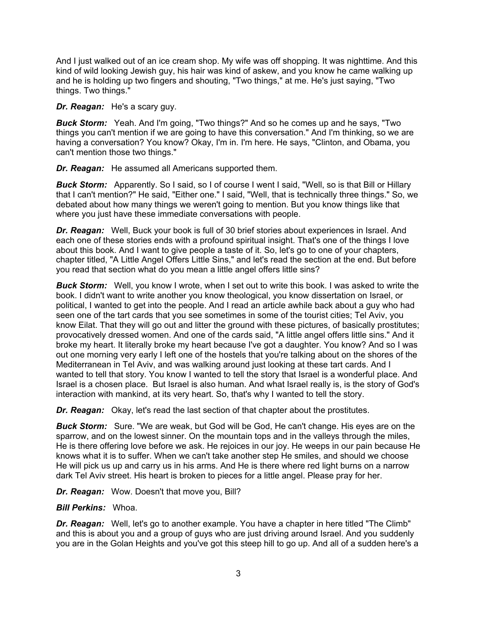And I just walked out of an ice cream shop. My wife was off shopping. It was nighttime. And this kind of wild looking Jewish guy, his hair was kind of askew, and you know he came walking up and he is holding up two fingers and shouting, "Two things," at me. He's just saying, "Two things. Two things."

*Dr. Reagan:* He's a scary guy.

*Buck Storm:* Yeah. And I'm going, "Two things?" And so he comes up and he says, "Two things you can't mention if we are going to have this conversation." And I'm thinking, so we are having a conversation? You know? Okay, I'm in. I'm here. He says, "Clinton, and Obama, you can't mention those two things."

*Dr. Reagan:* He assumed all Americans supported them.

*Buck Storm:* Apparently. So I said, so I of course I went I said, "Well, so is that Bill or Hillary that I can't mention?" He said, "Either one." I said, "Well, that is technically three things." So, we debated about how many things we weren't going to mention. But you know things like that where you just have these immediate conversations with people.

*Dr. Reagan:* Well, Buck your book is full of 30 brief stories about experiences in Israel. And each one of these stories ends with a profound spiritual insight. That's one of the things I love about this book. And I want to give people a taste of it. So, let's go to one of your chapters, chapter titled, "A Little Angel Offers Little Sins," and let's read the section at the end. But before you read that section what do you mean a little angel offers little sins?

*Buck Storm:* Well, you know I wrote, when I set out to write this book. I was asked to write the book. I didn't want to write another you know theological, you know dissertation on Israel, or political, I wanted to get into the people. And I read an article awhile back about a guy who had seen one of the tart cards that you see sometimes in some of the tourist cities; Tel Aviv, you know Eilat. That they will go out and litter the ground with these pictures, of basically prostitutes; provocatively dressed women. And one of the cards said, "A little angel offers little sins." And it broke my heart. It literally broke my heart because I've got a daughter. You know? And so I was out one morning very early I left one of the hostels that you're talking about on the shores of the Mediterranean in Tel Aviv, and was walking around just looking at these tart cards. And I wanted to tell that story. You know I wanted to tell the story that Israel is a wonderful place. And Israel is a chosen place. But Israel is also human. And what Israel really is, is the story of God's interaction with mankind, at its very heart. So, that's why I wanted to tell the story.

*Dr. Reagan:* Okay, let's read the last section of that chapter about the prostitutes.

*Buck Storm:* Sure. "We are weak, but God will be God, He can't change. His eyes are on the sparrow, and on the lowest sinner. On the mountain tops and in the valleys through the miles, He is there offering love before we ask. He rejoices in our joy. He weeps in our pain because He knows what it is to suffer. When we can't take another step He smiles, and should we choose He will pick us up and carry us in his arms. And He is there where red light burns on a narrow dark Tel Aviv street. His heart is broken to pieces for a little angel. Please pray for her.

*Dr. Reagan:* Wow. Doesn't that move you, Bill?

## *Bill Perkins:* Whoa.

*Dr. Reagan:* Well, let's go to another example. You have a chapter in here titled "The Climb" and this is about you and a group of guys who are just driving around Israel. And you suddenly you are in the Golan Heights and you've got this steep hill to go up. And all of a sudden here's a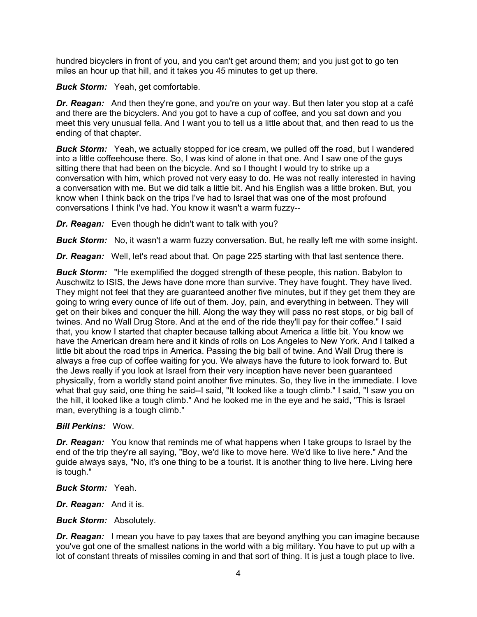hundred bicyclers in front of you, and you can't get around them; and you just got to go ten miles an hour up that hill, and it takes you 45 minutes to get up there.

*Buck Storm:* Yeah, get comfortable.

*Dr. Reagan:* And then they're gone, and you're on your way. But then later you stop at a café and there are the bicyclers. And you got to have a cup of coffee, and you sat down and you meet this very unusual fella. And I want you to tell us a little about that, and then read to us the ending of that chapter.

**Buck Storm:** Yeah, we actually stopped for ice cream, we pulled off the road, but I wandered into a little coffeehouse there. So, I was kind of alone in that one. And I saw one of the guys sitting there that had been on the bicycle. And so I thought I would try to strike up a conversation with him, which proved not very easy to do. He was not really interested in having a conversation with me. But we did talk a little bit. And his English was a little broken. But, you know when I think back on the trips I've had to Israel that was one of the most profound conversations I think I've had. You know it wasn't a warm fuzzy--

*Dr. Reagan:* Even though he didn't want to talk with you?

**Buck Storm:** No, it wasn't a warm fuzzy conversation. But, he really left me with some insight.

**Dr. Reagan:** Well, let's read about that. On page 225 starting with that last sentence there.

*Buck Storm:* "He exemplified the dogged strength of these people, this nation. Babylon to Auschwitz to ISIS, the Jews have done more than survive. They have fought. They have lived. They might not feel that they are guaranteed another five minutes, but if they get them they are going to wring every ounce of life out of them. Joy, pain, and everything in between. They will get on their bikes and conquer the hill. Along the way they will pass no rest stops, or big ball of twines. And no Wall Drug Store. And at the end of the ride they'll pay for their coffee." I said that, you know I started that chapter because talking about America a little bit. You know we have the American dream here and it kinds of rolls on Los Angeles to New York. And I talked a little bit about the road trips in America. Passing the big ball of twine. And Wall Drug there is always a free cup of coffee waiting for you. We always have the future to look forward to. But the Jews really if you look at Israel from their very inception have never been guaranteed physically, from a worldly stand point another five minutes. So, they live in the immediate. I love what that guy said, one thing he said--I said, "It looked like a tough climb." I said, "I saw you on the hill, it looked like a tough climb." And he looked me in the eye and he said, "This is Israel man, everything is a tough climb."

## *Bill Perkins:* Wow.

*Dr. Reagan:* You know that reminds me of what happens when I take groups to Israel by the end of the trip they're all saying, "Boy, we'd like to move here. We'd like to live here." And the guide always says, "No, it's one thing to be a tourist. It is another thing to live here. Living here is tough."

*Buck Storm:* Yeah.

*Dr. Reagan:* And it is.

*Buck Storm:* Absolutely.

*Dr. Reagan:* I mean you have to pay taxes that are beyond anything you can imagine because you've got one of the smallest nations in the world with a big military. You have to put up with a lot of constant threats of missiles coming in and that sort of thing. It is just a tough place to live.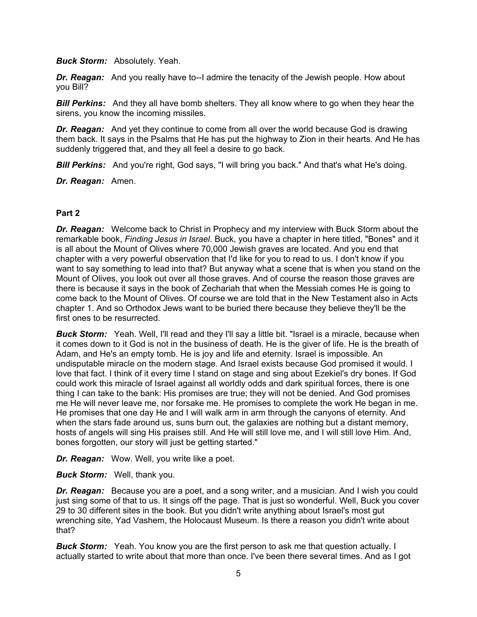*Buck Storm:* Absolutely. Yeah.

**Dr. Reagan:** And you really have to--I admire the tenacity of the Jewish people. How about you Bill?

**Bill Perkins:** And they all have bomb shelters. They all know where to go when they hear the sirens, you know the incoming missiles.

*Dr. Reagan:* And yet they continue to come from all over the world because God is drawing them back. It says in the Psalms that He has put the highway to Zion in their hearts. And He has suddenly triggered that, and they all feel a desire to go back.

*Bill Perkins:* And you're right, God says, "I will bring you back." And that's what He's doing.

*Dr. Reagan:* Amen.

#### **Part 2**

*Dr. Reagan:* Welcome back to Christ in Prophecy and my interview with Buck Storm about the remarkable book, *Finding Jesus in Israel*. Buck, you have a chapter in here titled, "Bones" and it is all about the Mount of Olives where 70,000 Jewish graves are located. And you end that chapter with a very powerful observation that I'd like for you to read to us. I don't know if you want to say something to lead into that? But anyway what a scene that is when you stand on the Mount of Olives, you look out over all those graves. And of course the reason those graves are there is because it says in the book of Zechariah that when the Messiah comes He is going to come back to the Mount of Olives. Of course we are told that in the New Testament also in Acts chapter 1. And so Orthodox Jews want to be buried there because they believe they'll be the first ones to be resurrected.

**Buck Storm:** Yeah. Well, I'll read and they I'll say a little bit. "Israel is a miracle, because when it comes down to it God is not in the business of death. He is the giver of life. He is the breath of Adam, and He's an empty tomb. He is joy and life and eternity. Israel is impossible. An undisputable miracle on the modern stage. And Israel exists because God promised it would. I love that fact. I think of it every time I stand on stage and sing about Ezekiel's dry bones. If God could work this miracle of Israel against all worldly odds and dark spiritual forces, there is one thing I can take to the bank: His promises are true; they will not be denied. And God promises me He will never leave me, nor forsake me. He promises to complete the work He began in me. He promises that one day He and I will walk arm in arm through the canyons of eternity. And when the stars fade around us, suns burn out, the galaxies are nothing but a distant memory, hosts of angels will sing His praises still. And He will still love me, and I will still love Him. And, bones forgotten, our story will just be getting started."

*Dr. Reagan:* Wow. Well, you write like a poet.

*Buck Storm:* Well, thank you.

*Dr. Reagan:* Because you are a poet, and a song writer, and a musician. And I wish you could just sing some of that to us. It sings off the page. That is just so wonderful. Well, Buck you cover 29 to 30 different sites in the book. But you didn't write anything about Israel's most gut wrenching site, Yad Vashem, the Holocaust Museum. Is there a reason you didn't write about that?

**Buck Storm:** Yeah. You know you are the first person to ask me that question actually. I actually started to write about that more than once. I've been there several times. And as I got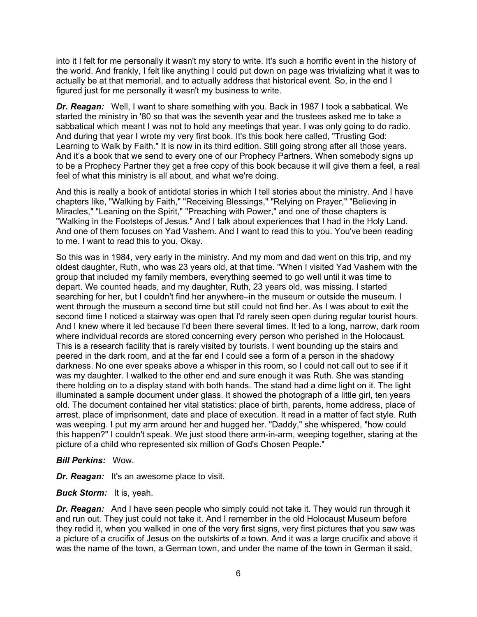into it I felt for me personally it wasn't my story to write. It's such a horrific event in the history of the world. And frankly, I felt like anything I could put down on page was trivializing what it was to actually be at that memorial, and to actually address that historical event. So, in the end I figured just for me personally it wasn't my business to write.

*Dr. Reagan:* Well, I want to share something with you. Back in 1987 I took a sabbatical. We started the ministry in '80 so that was the seventh year and the trustees asked me to take a sabbatical which meant I was not to hold any meetings that year. I was only going to do radio. And during that year I wrote my very first book. It's this book here called, "Trusting God: Learning to Walk by Faith." It is now in its third edition. Still going strong after all those years. And it's a book that we send to every one of our Prophecy Partners. When somebody signs up to be a Prophecy Partner they get a free copy of this book because it will give them a feel, a real feel of what this ministry is all about, and what we're doing.

And this is really a book of antidotal stories in which I tell stories about the ministry. And I have chapters like, "Walking by Faith," "Receiving Blessings," "Relying on Prayer," "Believing in Miracles," "Leaning on the Spirit," "Preaching with Power," and one of those chapters is "Walking in the Footsteps of Jesus." And I talk about experiences that I had in the Holy Land. And one of them focuses on Yad Vashem. And I want to read this to you. You've been reading to me. I want to read this to you. Okay.

So this was in 1984, very early in the ministry. And my mom and dad went on this trip, and my oldest daughter, Ruth, who was 23 years old, at that time. "When I visited Yad Vashem with the group that included my family members, everything seemed to go well until it was time to depart. We counted heads, and my daughter, Ruth, 23 years old, was missing. I started searching for her, but I couldn't find her anywhere–in the museum or outside the museum. I went through the museum a second time but still could not find her. As I was about to exit the second time I noticed a stairway was open that I'd rarely seen open during regular tourist hours. And I knew where it led because I'd been there several times. It led to a long, narrow, dark room where individual records are stored concerning every person who perished in the Holocaust. This is a research facility that is rarely visited by tourists. I went bounding up the stairs and peered in the dark room, and at the far end I could see a form of a person in the shadowy darkness. No one ever speaks above a whisper in this room, so I could not call out to see if it was my daughter. I walked to the other end and sure enough it was Ruth. She was standing there holding on to a display stand with both hands. The stand had a dime light on it. The light illuminated a sample document under glass. It showed the photograph of a little girl, ten years old. The document contained her vital statistics: place of birth, parents, home address, place of arrest, place of imprisonment, date and place of execution. It read in a matter of fact style. Ruth was weeping. I put my arm around her and hugged her. "Daddy," she whispered, "how could this happen?" I couldn't speak. We just stood there arm-in-arm, weeping together, staring at the picture of a child who represented six million of God's Chosen People."

#### *Bill Perkins:* Wow.

*Dr. Reagan:* It's an awesome place to visit.

*Buck Storm:* It is, yeah.

*Dr. Reagan:* And I have seen people who simply could not take it. They would run through it and run out. They just could not take it. And I remember in the old Holocaust Museum before they redid it, when you walked in one of the very first signs, very first pictures that you saw was a picture of a crucifix of Jesus on the outskirts of a town. And it was a large crucifix and above it was the name of the town, a German town, and under the name of the town in German it said,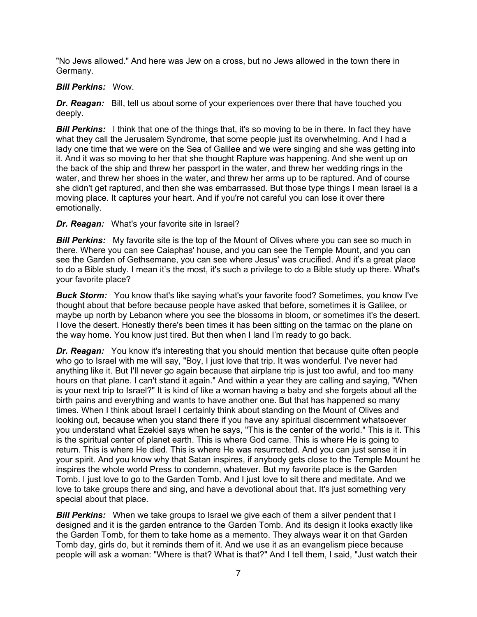"No Jews allowed." And here was Jew on a cross, but no Jews allowed in the town there in Germany.

## *Bill Perkins:* Wow.

*Dr. Reagan:* Bill, tell us about some of your experiences over there that have touched you deeply.

**Bill Perkins:** I think that one of the things that, it's so moving to be in there. In fact they have what they call the Jerusalem Syndrome, that some people just its overwhelming. And I had a lady one time that we were on the Sea of Galilee and we were singing and she was getting into it. And it was so moving to her that she thought Rapture was happening. And she went up on the back of the ship and threw her passport in the water, and threw her wedding rings in the water, and threw her shoes in the water, and threw her arms up to be raptured. And of course she didn't get raptured, and then she was embarrassed. But those type things I mean Israel is a moving place. It captures your heart. And if you're not careful you can lose it over there emotionally.

## *Dr. Reagan:* What's your favorite site in Israel?

**Bill Perkins:** My favorite site is the top of the Mount of Olives where you can see so much in there. Where you can see Caiaphas' house, and you can see the Temple Mount, and you can see the Garden of Gethsemane, you can see where Jesus' was crucified. And it's a great place to do a Bible study. I mean it's the most, it's such a privilege to do a Bible study up there. What's your favorite place?

*Buck Storm:* You know that's like saying what's your favorite food? Sometimes, you know I've thought about that before because people have asked that before, sometimes it is Galilee, or maybe up north by Lebanon where you see the blossoms in bloom, or sometimes it's the desert. I love the desert. Honestly there's been times it has been sitting on the tarmac on the plane on the way home. You know just tired. But then when I land I'm ready to go back.

**Dr. Reagan:** You know it's interesting that you should mention that because quite often people who go to Israel with me will say, "Boy, I just love that trip. It was wonderful. I've never had anything like it. But I'll never go again because that airplane trip is just too awful, and too many hours on that plane. I can't stand it again." And within a year they are calling and saying, "When is your next trip to Israel?" It is kind of like a woman having a baby and she forgets about all the birth pains and everything and wants to have another one. But that has happened so many times. When I think about Israel I certainly think about standing on the Mount of Olives and looking out, because when you stand there if you have any spiritual discernment whatsoever you understand what Ezekiel says when he says, "This is the center of the world." This is it. This is the spiritual center of planet earth. This is where God came. This is where He is going to return. This is where He died. This is where He was resurrected. And you can just sense it in your spirit. And you know why that Satan inspires, if anybody gets close to the Temple Mount he inspires the whole world Press to condemn, whatever. But my favorite place is the Garden Tomb. I just love to go to the Garden Tomb. And I just love to sit there and meditate. And we love to take groups there and sing, and have a devotional about that. It's just something very special about that place.

**Bill Perkins:** When we take groups to Israel we give each of them a silver pendent that I designed and it is the garden entrance to the Garden Tomb. And its design it looks exactly like the Garden Tomb, for them to take home as a memento. They always wear it on that Garden Tomb day, girls do, but it reminds them of it. And we use it as an evangelism piece because people will ask a woman: "Where is that? What is that?" And I tell them, I said, "Just watch their